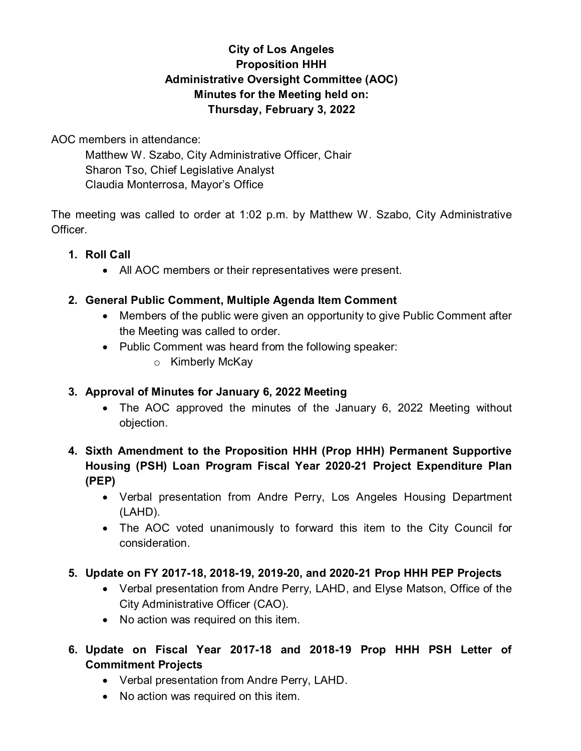# **City of Los Angeles Proposition HHH Administrative Oversight Committee (AOC) Minutes for the Meeting held on: Thursday, February 3, 2022**

AOC members in attendance:

Matthew W. Szabo, City Administrative Officer, Chair Sharon Tso, Chief Legislative Analyst Claudia Monterrosa, Mayor's Office

The meeting was called to order at 1:02 p.m. by Matthew W. Szabo, City Administrative Officer.

- **1. Roll Call**
	- All AOC members or their representatives were present.

# **2. General Public Comment, Multiple Agenda Item Comment**

- Members of the public were given an opportunity to give Public Comment after the Meeting was called to order.
- Public Comment was heard from the following speaker:
	- o Kimberly McKay

# **3. Approval of Minutes for January 6, 2022 Meeting**

- The AOC approved the minutes of the January 6, 2022 Meeting without objection.
- **4. Sixth Amendment to the Proposition HHH (Prop HHH) Permanent Supportive Housing (PSH) Loan Program Fiscal Year 2020-21 Project Expenditure Plan (PEP)**
	- Verbal presentation from Andre Perry, Los Angeles Housing Department (LAHD).
	- The AOC voted unanimously to forward this item to the City Council for consideration.

# **5. Update on FY 2017-18, 2018-19, 2019-20, and 2020-21 Prop HHH PEP Projects**

- Verbal presentation from Andre Perry, LAHD, and Elyse Matson, Office of the City Administrative Officer (CAO).
- No action was required on this item.
- **6. Update on Fiscal Year 2017-18 and 2018-19 Prop HHH PSH Letter of Commitment Projects**
	- Verbal presentation from Andre Perry, LAHD.
	- No action was required on this item.